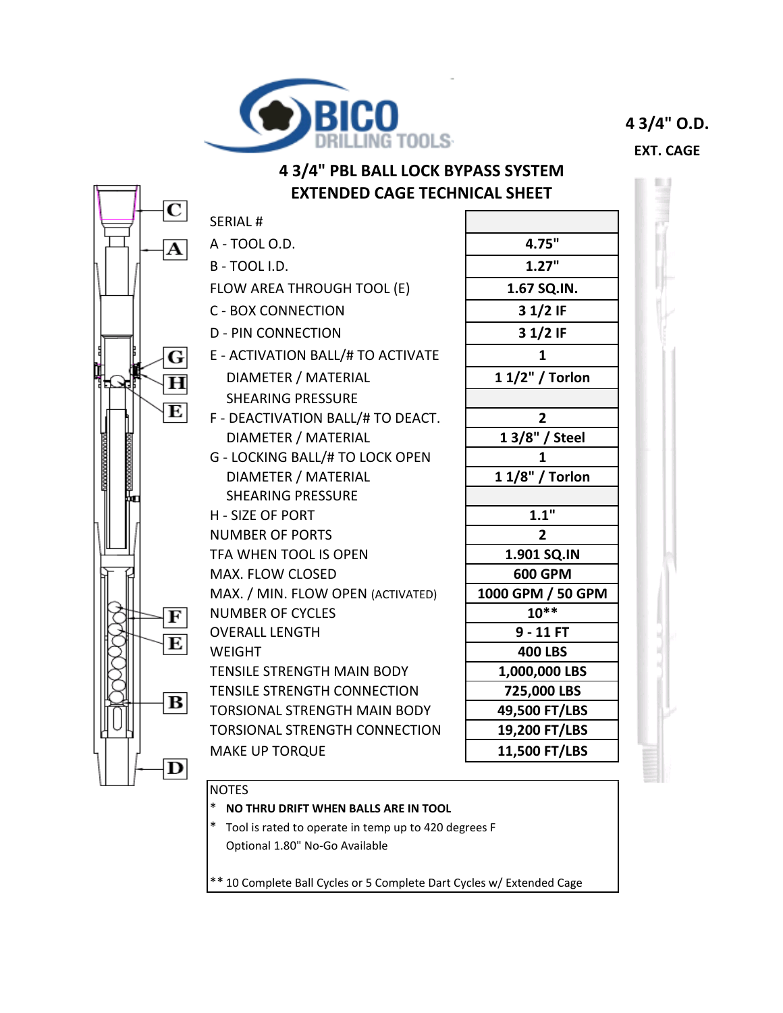

**4 3/4" O.D.**

**EXT. CAGE**



- \* **NO THRU DRIFT WHEN BALLS ARE IN TOOL**
- \* Tool is rated to operate in temp up to 420 degrees F Optional 1.80" No-Go Available

\*\* 10 Complete Ball Cycles or 5 Complete Dart Cycles w/ Extended Cage